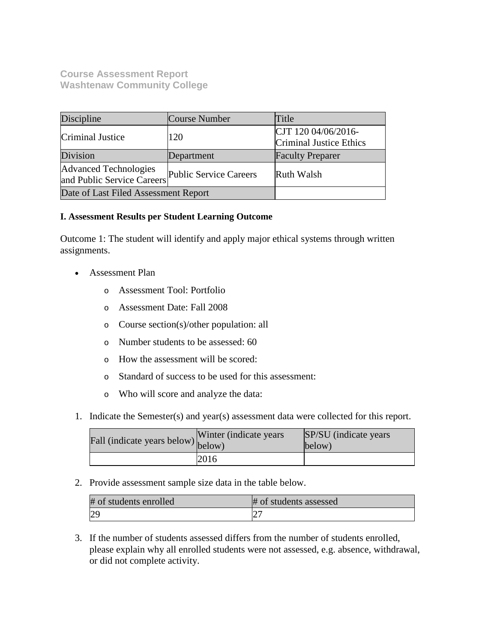# **Course Assessment Report Washtenaw Community College**

| Discipline                                          | Course Number          | Title                                          |
|-----------------------------------------------------|------------------------|------------------------------------------------|
| Criminal Justice                                    | 120                    | CJT 120 04/06/2016-<br>Criminal Justice Ethics |
| Division                                            | Department             | <b>Faculty Preparer</b>                        |
| Advanced Technologies<br>and Public Service Careers | Public Service Careers | Ruth Walsh                                     |
| Date of Last Filed Assessment Report                |                        |                                                |

# **I. Assessment Results per Student Learning Outcome**

Outcome 1: The student will identify and apply major ethical systems through written assignments.

- Assessment Plan
	- o Assessment Tool: Portfolio
	- o Assessment Date: Fall 2008
	- o Course section(s)/other population: all
	- o Number students to be assessed: 60
	- o How the assessment will be scored:
	- o Standard of success to be used for this assessment:
	- o Who will score and analyze the data:
- 1. Indicate the Semester(s) and year(s) assessment data were collected for this report.

| Fall (indicate years below) below) | Winter (indicate years) | <b>SP/SU</b> (indicate years)<br>below) |
|------------------------------------|-------------------------|-----------------------------------------|
|                                    | 2016                    |                                         |

2. Provide assessment sample size data in the table below.

| # of students enrolled | # of students assessed |
|------------------------|------------------------|
| ∠                      | ∠                      |

3. If the number of students assessed differs from the number of students enrolled, please explain why all enrolled students were not assessed, e.g. absence, withdrawal, or did not complete activity.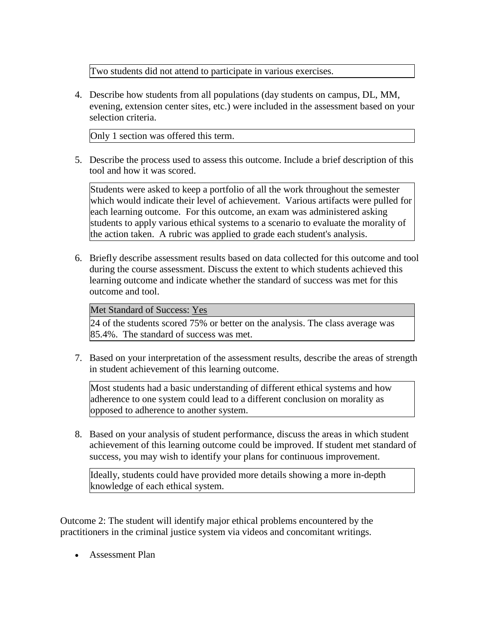Two students did not attend to participate in various exercises.

4. Describe how students from all populations (day students on campus, DL, MM, evening, extension center sites, etc.) were included in the assessment based on your selection criteria.

Only 1 section was offered this term.

5. Describe the process used to assess this outcome. Include a brief description of this tool and how it was scored.

Students were asked to keep a portfolio of all the work throughout the semester which would indicate their level of achievement. Various artifacts were pulled for each learning outcome. For this outcome, an exam was administered asking students to apply various ethical systems to a scenario to evaluate the morality of the action taken. A rubric was applied to grade each student's analysis.

6. Briefly describe assessment results based on data collected for this outcome and tool during the course assessment. Discuss the extent to which students achieved this learning outcome and indicate whether the standard of success was met for this outcome and tool.

## Met Standard of Success: Yes

24 of the students scored 75% or better on the analysis. The class average was 85.4%. The standard of success was met.

7. Based on your interpretation of the assessment results, describe the areas of strength in student achievement of this learning outcome.

Most students had a basic understanding of different ethical systems and how adherence to one system could lead to a different conclusion on morality as opposed to adherence to another system.

8. Based on your analysis of student performance, discuss the areas in which student achievement of this learning outcome could be improved. If student met standard of success, you may wish to identify your plans for continuous improvement.

Ideally, students could have provided more details showing a more in-depth knowledge of each ethical system.

Outcome 2: The student will identify major ethical problems encountered by the practitioners in the criminal justice system via videos and concomitant writings.

• Assessment Plan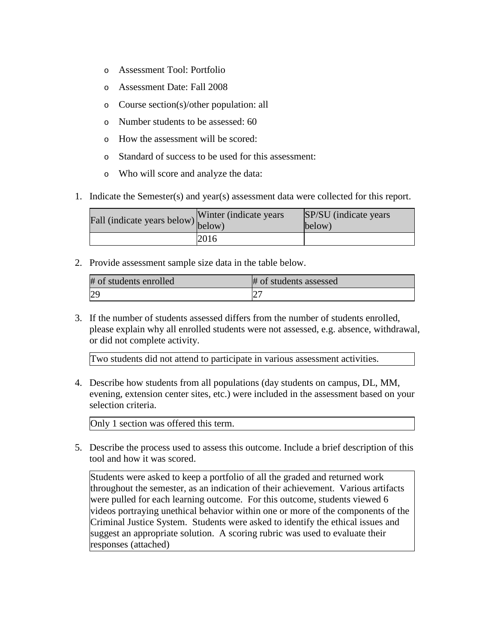- o Assessment Tool: Portfolio
- o Assessment Date: Fall 2008
- o Course section(s)/other population: all
- o Number students to be assessed: 60
- o How the assessment will be scored:
- o Standard of success to be used for this assessment:
- o Who will score and analyze the data:
- 1. Indicate the Semester(s) and year(s) assessment data were collected for this report.

| Fall (indicate years below) $\begin{bmatrix} \text{w}\text{inter} \\ \text{below} \end{bmatrix}$ | Winter (indicate years) | SP/SU (indicate years)<br>below) |
|--------------------------------------------------------------------------------------------------|-------------------------|----------------------------------|
|                                                                                                  | 2016                    |                                  |

2. Provide assessment sample size data in the table below.

| # of students enrolled | # of students assessed |
|------------------------|------------------------|
|                        |                        |

3. If the number of students assessed differs from the number of students enrolled, please explain why all enrolled students were not assessed, e.g. absence, withdrawal, or did not complete activity.

Two students did not attend to participate in various assessment activities.

4. Describe how students from all populations (day students on campus, DL, MM, evening, extension center sites, etc.) were included in the assessment based on your selection criteria.

Only 1 section was offered this term.

5. Describe the process used to assess this outcome. Include a brief description of this tool and how it was scored.

Students were asked to keep a portfolio of all the graded and returned work throughout the semester, as an indication of their achievement. Various artifacts were pulled for each learning outcome. For this outcome, students viewed 6 videos portraying unethical behavior within one or more of the components of the Criminal Justice System. Students were asked to identify the ethical issues and suggest an appropriate solution. A scoring rubric was used to evaluate their responses (attached)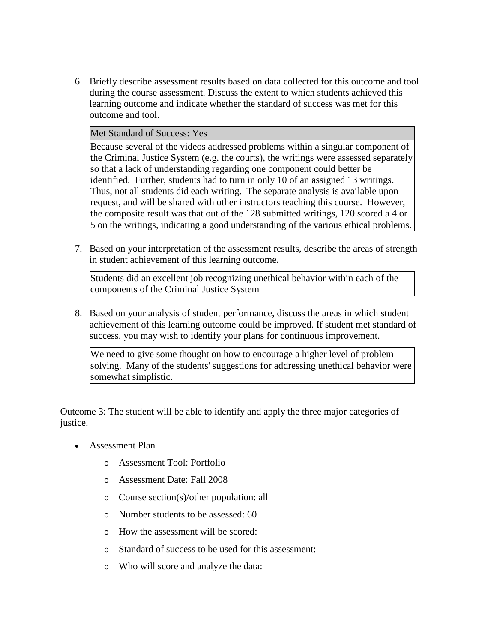6. Briefly describe assessment results based on data collected for this outcome and tool during the course assessment. Discuss the extent to which students achieved this learning outcome and indicate whether the standard of success was met for this outcome and tool.

#### Met Standard of Success: Yes

Because several of the videos addressed problems within a singular component of the Criminal Justice System (e.g. the courts), the writings were assessed separately so that a lack of understanding regarding one component could better be identified. Further, students had to turn in only 10 of an assigned 13 writings. Thus, not all students did each writing. The separate analysis is available upon request, and will be shared with other instructors teaching this course. However, the composite result was that out of the 128 submitted writings, 120 scored a 4 or 5 on the writings, indicating a good understanding of the various ethical problems.

7. Based on your interpretation of the assessment results, describe the areas of strength in student achievement of this learning outcome.

Students did an excellent job recognizing unethical behavior within each of the components of the Criminal Justice System

8. Based on your analysis of student performance, discuss the areas in which student achievement of this learning outcome could be improved. If student met standard of success, you may wish to identify your plans for continuous improvement.

We need to give some thought on how to encourage a higher level of problem solving. Many of the students' suggestions for addressing unethical behavior were somewhat simplistic.

Outcome 3: The student will be able to identify and apply the three major categories of justice.

- Assessment Plan
	- o Assessment Tool: Portfolio
	- o Assessment Date: Fall 2008
	- o Course section(s)/other population: all
	- o Number students to be assessed: 60
	- o How the assessment will be scored:
	- o Standard of success to be used for this assessment:
	- o Who will score and analyze the data: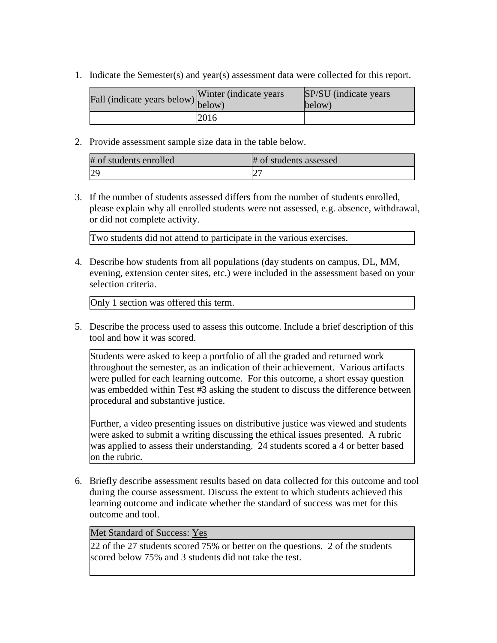1. Indicate the Semester(s) and year(s) assessment data were collected for this report.

| Fall (indicate years below) below) | Winter (indicate years) | SP/SU (indicate years)<br>below) |
|------------------------------------|-------------------------|----------------------------------|
|                                    | 2016                    |                                  |

2. Provide assessment sample size data in the table below.

| # of students enrolled | # of students assessed |
|------------------------|------------------------|
| 29                     |                        |

3. If the number of students assessed differs from the number of students enrolled, please explain why all enrolled students were not assessed, e.g. absence, withdrawal, or did not complete activity.

Two students did not attend to participate in the various exercises.

4. Describe how students from all populations (day students on campus, DL, MM, evening, extension center sites, etc.) were included in the assessment based on your selection criteria.

Only 1 section was offered this term.

5. Describe the process used to assess this outcome. Include a brief description of this tool and how it was scored.

Students were asked to keep a portfolio of all the graded and returned work throughout the semester, as an indication of their achievement. Various artifacts were pulled for each learning outcome. For this outcome, a short essay question was embedded within Test #3 asking the student to discuss the difference between procedural and substantive justice.

Further, a video presenting issues on distributive justice was viewed and students were asked to submit a writing discussing the ethical issues presented. A rubric was applied to assess their understanding. 24 students scored a 4 or better based on the rubric.

6. Briefly describe assessment results based on data collected for this outcome and tool during the course assessment. Discuss the extent to which students achieved this learning outcome and indicate whether the standard of success was met for this outcome and tool.

## Met Standard of Success: Yes

22 of the 27 students scored 75% or better on the questions. 2 of the students scored below 75% and 3 students did not take the test.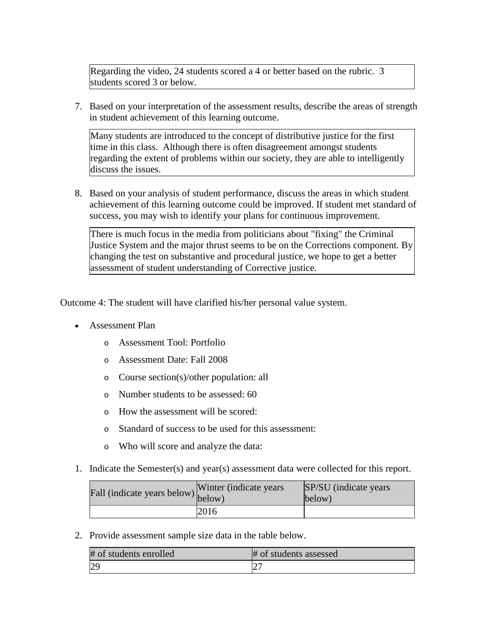Regarding the video, 24 students scored a 4 or better based on the rubric. 3 students scored 3 or below.

7. Based on your interpretation of the assessment results, describe the areas of strength in student achievement of this learning outcome.

Many students are introduced to the concept of distributive justice for the first time in this class. Although there is often disagreement amongst students regarding the extent of problems within our society, they are able to intelligently discuss the issues.

8. Based on your analysis of student performance, discuss the areas in which student achievement of this learning outcome could be improved. If student met standard of success, you may wish to identify your plans for continuous improvement.

There is much focus in the media from politicians about "fixing" the Criminal Justice System and the major thrust seems to be on the Corrections component. By changing the test on substantive and procedural justice, we hope to get a better assessment of student understanding of Corrective justice.

Outcome 4: The student will have clarified his/her personal value system.

- Assessment Plan
	- o Assessment Tool: Portfolio
	- o Assessment Date: Fall 2008
	- o Course section(s)/other population: all
	- o Number students to be assessed: 60
	- o How the assessment will be scored:
	- o Standard of success to be used for this assessment:
	- o Who will score and analyze the data:
- 1. Indicate the Semester(s) and year(s) assessment data were collected for this report.

| Fall (indicate years below) below) | Winter (indicate years) | SP/SU (indicate years)<br>below) |
|------------------------------------|-------------------------|----------------------------------|
|                                    | 2016                    |                                  |

2. Provide assessment sample size data in the table below.

| # of students enrolled | # of students assessed |
|------------------------|------------------------|
|                        |                        |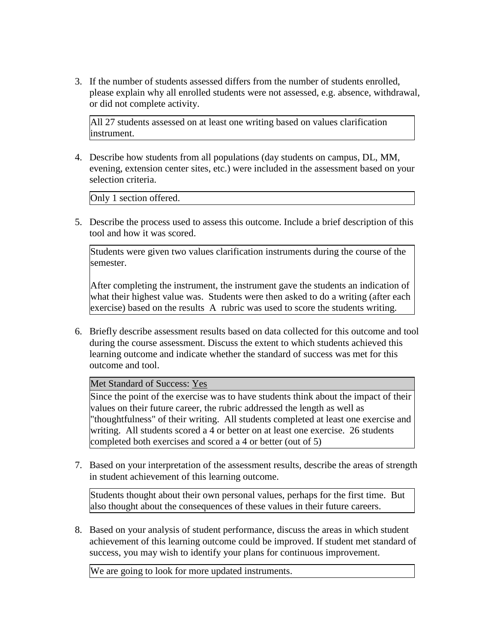3. If the number of students assessed differs from the number of students enrolled, please explain why all enrolled students were not assessed, e.g. absence, withdrawal, or did not complete activity.

All 27 students assessed on at least one writing based on values clarification instrument.

4. Describe how students from all populations (day students on campus, DL, MM, evening, extension center sites, etc.) were included in the assessment based on your selection criteria.

Only 1 section offered.

5. Describe the process used to assess this outcome. Include a brief description of this tool and how it was scored.

Students were given two values clarification instruments during the course of the semester.

After completing the instrument, the instrument gave the students an indication of what their highest value was. Students were then asked to do a writing (after each exercise) based on the results A rubric was used to score the students writing.

6. Briefly describe assessment results based on data collected for this outcome and tool during the course assessment. Discuss the extent to which students achieved this learning outcome and indicate whether the standard of success was met for this outcome and tool.

Met Standard of Success: Yes

Since the point of the exercise was to have students think about the impact of their values on their future career, the rubric addressed the length as well as "thoughtfulness" of their writing. All students completed at least one exercise and writing. All students scored a 4 or better on at least one exercise. 26 students completed both exercises and scored a 4 or better (out of 5)

7. Based on your interpretation of the assessment results, describe the areas of strength in student achievement of this learning outcome.

Students thought about their own personal values, perhaps for the first time. But also thought about the consequences of these values in their future careers.

8. Based on your analysis of student performance, discuss the areas in which student achievement of this learning outcome could be improved. If student met standard of success, you may wish to identify your plans for continuous improvement.

We are going to look for more updated instruments.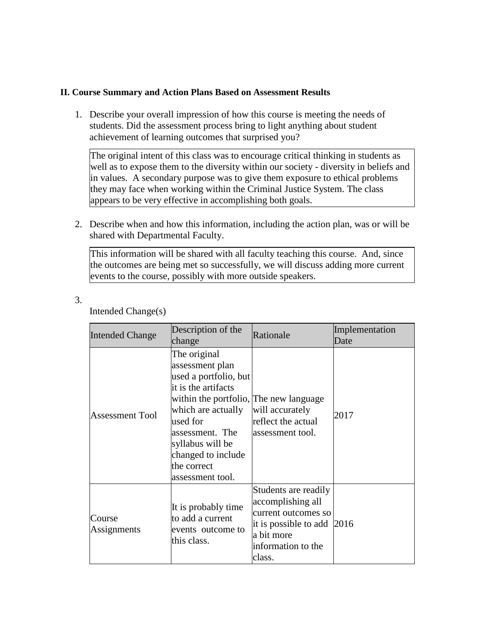### **II. Course Summary and Action Plans Based on Assessment Results**

1. Describe your overall impression of how this course is meeting the needs of students. Did the assessment process bring to light anything about student achievement of learning outcomes that surprised you?

The original intent of this class was to encourage critical thinking in students as well as to expose them to the diversity within our society - diversity in beliefs and in values. A secondary purpose was to give them exposure to ethical problems they may face when working within the Criminal Justice System. The class appears to be very effective in accomplishing both goals.

2. Describe when and how this information, including the action plan, was or will be shared with Departmental Faculty.

This information will be shared with all faculty teaching this course. And, since the outcomes are being met so successfully, we will discuss adding more current events to the course, possibly with more outside speakers.

| <br>۰,<br>۰,<br>I      |        |
|------------------------|--------|
| I<br>I<br>۰.<br>×<br>٠ | $\sim$ |

Intended Change(s)

| <b>Intended Change</b> | Description of the<br>change                                                                                                                                                                                                                                | Rationale                                                                                                                                    | Implementation<br>Date |
|------------------------|-------------------------------------------------------------------------------------------------------------------------------------------------------------------------------------------------------------------------------------------------------------|----------------------------------------------------------------------------------------------------------------------------------------------|------------------------|
| <b>Assessment Tool</b> | The original<br>assessment plan<br>used a portfolio, but<br>it is the artifacts<br>within the portfolio, The new language<br>which are actually<br>used for<br>assessment. The<br>syllabus will be<br>changed to include<br>the correct<br>assessment tool. | will accurately<br>reflect the actual<br>assessment tool.                                                                                    | 2017                   |
| Course<br>Assignments  | It is probably time<br>to add a current<br>events outcome to<br>this class.                                                                                                                                                                                 | Students are readily<br>accomplishing all<br>current outcomes so<br>it is possible to add 2016<br>a bit more<br>information to the<br>class. |                        |